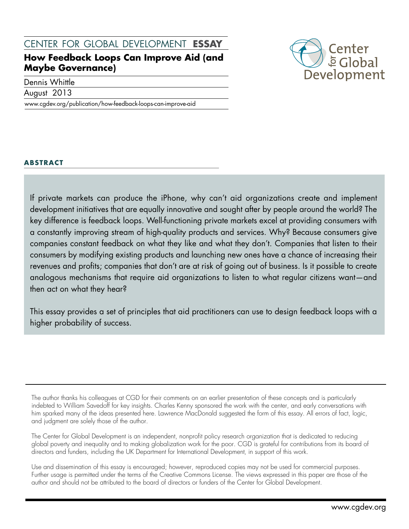## center for global development **essay How Feedback Loops Can Improve Aid (and Maybe Governance)**



Dennis Whittle August 2013

www.cgdev.org/publication/how-feedback-loops-can-improve-aid

## **abstract**

If private markets can produce the iPhone, why can't aid organizations create and implement development initiatives that are equally innovative and sought after by people around the world? The key difference is feedback loops. Well-functioning private markets excel at providing consumers with a constantly improving stream of high-quality products and services. Why? Because consumers give companies constant feedback on what they like and what they don't. Companies that listen to their consumers by modifying existing products and launching new ones have a chance of increasing their revenues and profits; companies that don't are at risk of going out of business. Is it possible to create analogous mechanisms that require aid organizations to listen to what regular citizens want—and then act on what they hear?

This essay provides a set of principles that aid practitioners can use to design feedback loops with a higher probability of success.

The author thanks his colleagues at CGD for their comments on an earlier presentation of these concepts and is particularly indebted to William Savedoff for key insights. Charles Kenny sponsored the work with the center, and early conversations with him sparked many of the ideas presented here. Lawrence MacDonald suggested the form of this essay. All errors of fact, logic, and judgment are solely those of the author.

The Center for Global Development is an independent, nonprofit policy research organization that is dedicated to reducing global poverty and inequality and to making globalization work for the poor. CGD is grateful for contributions from its board of directors and funders, including the UK Department for International Development, in support of this work.

Use and dissemination of this essay is encouraged; however, reproduced copies may not be used for commercial purposes. Further usage is permitted under the terms of the Creative Commons License. The views expressed in this paper are those of the author and should not be attributed to the board of directors or funders of the Center for Global Development.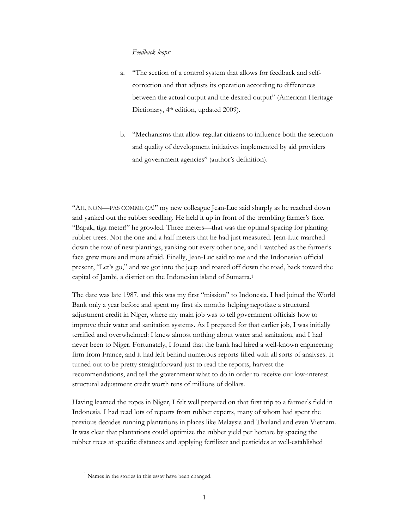## *Feedback loops:*

- a. "The section of a control system that allows for feedback and selfcorrection and that adjusts its operation according to differences between the actual output and the desired output" (American Heritage Dictionary, 4<sup>th</sup> edition, updated 2009).
- b. "Mechanisms that allow regular citizens to influence both the selection and quality of development initiatives implemented by aid providers and government agencies" (author's definition).

"AH, NON—PAS COMME ÇA!" my new colleague Jean-Luc said sharply as he reached down and yanked out the rubber seedling. He held it up in front of the trembling farmer's face. "Bapak, tiga meter!" he growled. Three meters—that was the optimal spacing for planting rubber trees. Not the one and a half meters that he had just measured. Jean-Luc marched down the row of new plantings, yanking out every other one, and I watched as the farmer's face grew more and more afraid. Finally, Jean-Luc said to me and the Indonesian official present, "Let's go," and we got into the jeep and roared off down the road, back toward the capital of Jambi, a district on the Indonesian island of Sumatra.<sup>1</sup>

The date was late 1987, and this was my first "mission" to Indonesia. I had joined the World Bank only a year before and spent my first six months helping negotiate a structural adjustment credit in Niger, where my main job was to tell government officials how to improve their water and sanitation systems. As I prepared for that earlier job, I was initially terrified and overwhelmed: I knew almost nothing about water and sanitation, and I had never been to Niger. Fortunately, I found that the bank had hired a well-known engineering firm from France, and it had left behind numerous reports filled with all sorts of analyses. It turned out to be pretty straightforward just to read the reports, harvest the recommendations, and tell the government what to do in order to receive our low-interest structural adjustment credit worth tens of millions of dollars.

Having learned the ropes in Niger, I felt well prepared on that first trip to a farmer's field in Indonesia. I had read lots of reports from rubber experts, many of whom had spent the previous decades running plantations in places like Malaysia and Thailand and even Vietnam. It was clear that plantations could optimize the rubber yield per hectare by spacing the rubber trees at specific distances and applying fertilizer and pesticides at well-established

<sup>&</sup>lt;sup>1</sup> Names in the stories in this essay have been changed.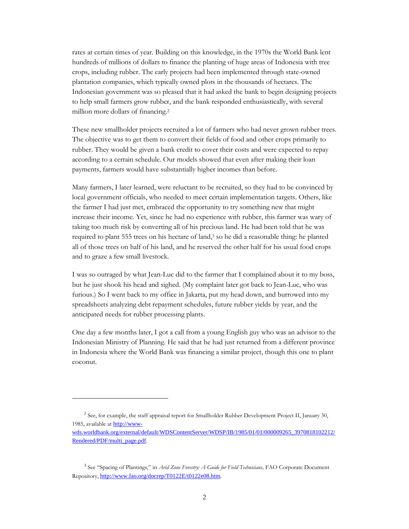rates at certain times of year. Building on this knowledge, in the 1970s the World Bank lent hundreds of millions of dollars to finance the planting of huge areas of Indonesia with tree crops, including rubber. The early projects had been implemented through state-owned plantation companies, which typically owned plots in the thousands of hectares. The Indonesian government was so pleased that it had asked the bank to begin designing projects to help small farmers grow rubber, and the bank responded enthusiastically, with several million more dollars of financing.<sup>2</sup>

These new smallholder projects recruited a lot of farmers who had never grown rubber trees. The objective was to get them to convert their fields of food and other crops primarily to rubber. They would be given a bank credit to cover their costs and were expected to repay according to a certain schedule. Our models showed that even after making their loan payments, farmers would have substantially higher incomes than before.

Many farmers, I later learned, were reluctant to be recruited, so they had to be convinced by local government officials, who needed to meet certain implementation targets. Others, like the farmer I had just met, embraced the opportunity to try something new that might increase their income. Yet, since he had no experience with rubber, this farmer was wary of taking too much risk by converting all of his precious land. He had been told that he was required to plant 555 trees on his hectare of land,<sup>3</sup> so he did a reasonable thing: he planted all of those trees on half of his land, and he reserved the other half for his usual food crops and to graze a few small livestock.

I was so outraged by what Jean-Luc did to the farmer that I complained about it to my boss, but he just shook his head and sighed. (My complaint later got back to Jean-Luc, who was furious.) So I went back to my office in Jakarta, put my head down, and burrowed into my spreadsheets analyzing debt repayment schedules, future rubber yields by year, and the anticipated needs for rubber processing plants.

One day a few months later, I got a call from a young English guy who was an advisor to the Indonesian Ministry of Planning. He said that he had just returned from a different province in Indonesia where the World Bank was financing a similar project, though this one to plant coconut.

 $2^{2}$  See, for example, the staff appraisal report for Smallholder Rubber Development Project II, January 30, 1985, available at http://www-

wds.worldbank.org/external/default/WDSContentServer/WDSP/IB/1985/01/01/000009265\_3970818102212/ Rendered/PDF/multi\_page.pdf.

<sup>3</sup> See "Spacing of Plantings," in *Arid Zone Forestry: A Guide for Field Technicians,* FAO Corporate Document Repository, http://www.fao.org/docrep/T0122E/t0122e08.htm.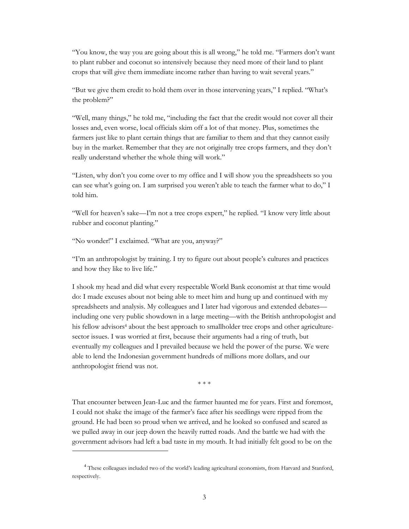"You know, the way you are going about this is all wrong," he told me. "Farmers don't want to plant rubber and coconut so intensively because they need more of their land to plant crops that will give them immediate income rather than having to wait several years."

"But we give them credit to hold them over in those intervening years," I replied. "What's the problem?"

"Well, many things," he told me, "including the fact that the credit would not cover all their losses and, even worse, local officials skim off a lot of that money. Plus, sometimes the farmers just like to plant certain things that are familiar to them and that they cannot easily buy in the market. Remember that they are not originally tree crops farmers, and they don't really understand whether the whole thing will work."

"Listen, why don't you come over to my office and I will show you the spreadsheets so you can see what's going on. I am surprised you weren't able to teach the farmer what to do," I told him.

"Well for heaven's sake—I'm not a tree crops expert," he replied. "I know very little about rubber and coconut planting."

"No wonder!" I exclaimed. "What are you, anyway?"

 $\overline{a}$ 

"I'm an anthropologist by training. I try to figure out about people's cultures and practices and how they like to live life."

I shook my head and did what every respectable World Bank economist at that time would do: I made excuses about not being able to meet him and hung up and continued with my spreadsheets and analysis. My colleagues and I later had vigorous and extended debates including one very public showdown in a large meeting—with the British anthropologist and his fellow advisors<sup>4</sup> about the best approach to smallholder tree crops and other agriculturesector issues. I was worried at first, because their arguments had a ring of truth, but eventually my colleagues and I prevailed because we held the power of the purse. We were able to lend the Indonesian government hundreds of millions more dollars, and our anthropologist friend was not.

\* \* \*

That encounter between Jean-Luc and the farmer haunted me for years. First and foremost, I could not shake the image of the farmer's face after his seedlings were ripped from the ground. He had been so proud when we arrived, and he looked so confused and scared as we pulled away in our jeep down the heavily rutted roads. And the battle we had with the government advisors had left a bad taste in my mouth. It had initially felt good to be on the

<sup>&</sup>lt;sup>4</sup> These colleagues included two of the world's leading agricultural economists, from Harvard and Stanford, respectively.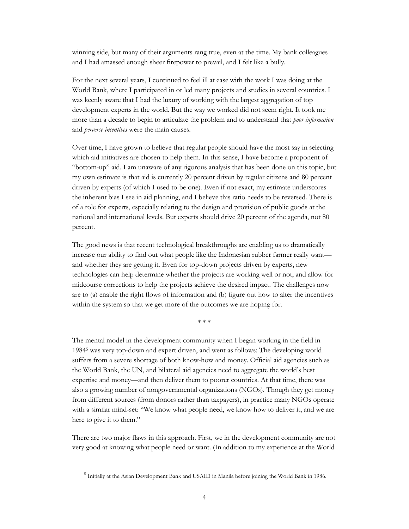winning side, but many of their arguments rang true, even at the time. My bank colleagues and I had amassed enough sheer firepower to prevail, and I felt like a bully.

For the next several years, I continued to feel ill at ease with the work I was doing at the World Bank, where I participated in or led many projects and studies in several countries. I was keenly aware that I had the luxury of working with the largest aggregation of top development experts in the world. But the way we worked did not seem right. It took me more than a decade to begin to articulate the problem and to understand that *poor information*  and *perverse incentives* were the main causes.

Over time, I have grown to believe that regular people should have the most say in selecting which aid initiatives are chosen to help them. In this sense, I have become a proponent of "bottom-up" aid. I am unaware of any rigorous analysis that has been done on this topic, but my own estimate is that aid is currently 20 percent driven by regular citizens and 80 percent driven by experts (of which I used to be one). Even if not exact, my estimate underscores the inherent bias I see in aid planning, and I believe this ratio needs to be reversed. There is of a role for experts, especially relating to the design and provision of public goods at the national and international levels. But experts should drive 20 percent of the agenda, not 80 percent.

The good news is that recent technological breakthroughs are enabling us to dramatically increase our ability to find out what people like the Indonesian rubber farmer really want and whether they are getting it. Even for top-down projects driven by experts, new technologies can help determine whether the projects are working well or not, and allow for midcourse corrections to help the projects achieve the desired impact. The challenges now are to (a) enable the right flows of information and (b) figure out how to alter the incentives within the system so that we get more of the outcomes we are hoping for.

\* \* \*

The mental model in the development community when I began working in the field in 1984<sup>5</sup> was very top-down and expert driven, and went as follows: The developing world suffers from a severe shortage of both know-how and money. Official aid agencies such as the World Bank, the UN, and bilateral aid agencies need to aggregate the world's best expertise and money—and then deliver them to poorer countries. At that time, there was also a growing number of nongovernmental organizations (NGOs). Though they get money from different sources (from donors rather than taxpayers), in practice many NGOs operate with a similar mind-set: "We know what people need, we know how to deliver it, and we are here to give it to them."

There are two major flaws in this approach. First, we in the development community are not very good at knowing what people need or want. (In addition to my experience at the World

<sup>&</sup>lt;sup>5</sup> Initially at the Asian Development Bank and USAID in Manila before joining the World Bank in 1986.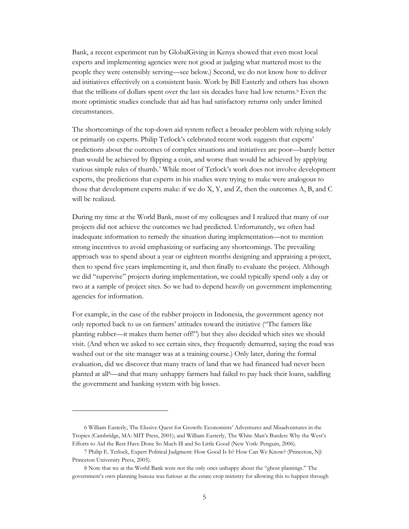Bank, a recent experiment run by GlobalGiving in Kenya showed that even most local experts and implementing agencies were not good at judging what mattered most to the people they were ostensibly serving—see below.) Second, we do not know how to deliver aid initiatives effectively on a consistent basis. Work by Bill Easterly and others has shown that the trillions of dollars spent over the last six decades have had low returns.<sup>6</sup> Even the more optimistic studies conclude that aid has had satisfactory returns only under limited circumstances.

The shortcomings of the top-down aid system reflect a broader problem with relying solely or primarily on experts. Philip Tetlock's celebrated recent work suggests that experts' predictions about the outcomes of complex situations and initiatives are poor—barely better than would be achieved by flipping a coin, and worse than would be achieved by applying various simple rules of thumb.<sup>7</sup> While most of Tetlock's work does not involve development experts, the predictions that experts in his studies were trying to make were analogous to those that development experts make: if we do X, Y, and Z, then the outcomes A, B, and C will be realized.

During my time at the World Bank, most of my colleagues and I realized that many of our projects did not achieve the outcomes we had predicted. Unfortunately, we often had inadequate information to remedy the situation during implementation—not to mention strong incentives to avoid emphasizing or surfacing any shortcomings. The prevailing approach was to spend about a year or eighteen months designing and appraising a project, then to spend five years implementing it, and then finally to evaluate the project. Although we did "supervise" projects during implementation, we could typically spend only a day or two at a sample of project sites. So we had to depend heavily on government implementing agencies for information.

For example, in the case of the rubber projects in Indonesia, the government agency not only reported back to us on farmers' attitudes toward the initiative ("The famers like planting rubber—it makes them better off!") but they also decided which sites we should visit. (And when we asked to see certain sites, they frequently demurred, saying the road was washed out or the site manager was at a training course.) Only later, during the formal evaluation, did we discover that many tracts of land that we had financed had never been planted at all8—and that many unhappy farmers had failed to pay back their loans, saddling the government and banking system with big losses.

<sup>6</sup> William Easterly, The Elusive Quest for Growth: Economists' Adventures and Misadventures in the Tropics (Cambridge, MA: MIT Press, 2001); and William Easterly, The White Man's Burden: Why the West's Efforts to Aid the Rest Have Done So Much Ill and So Little Good (New York: Penguin, 2006).

<sup>7</sup> Philip E. Tetlock, Expert Political Judgment: How Good Is It? How Can We Know? (Princeton, NJ: Princeton University Press, 2005).

<sup>8</sup> Note that we at the World Bank were not the only ones unhappy about the "ghost plantings." The government's own planning bureau was furious at the estate crop ministry for allowing this to happen through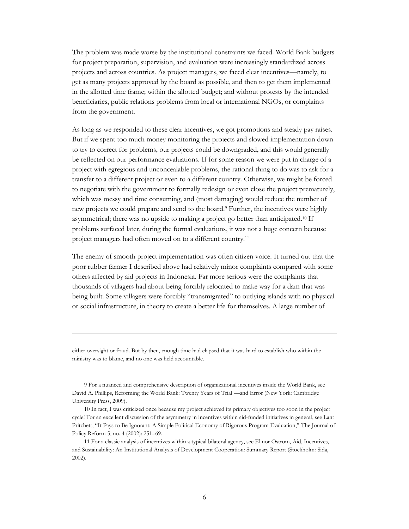The problem was made worse by the institutional constraints we faced. World Bank budgets for project preparation, supervision, and evaluation were increasingly standardized across projects and across countries. As project managers, we faced clear incentives—namely, to get as many projects approved by the board as possible, and then to get them implemented in the allotted time frame; within the allotted budget; and without protests by the intended beneficiaries, public relations problems from local or international NGOs, or complaints from the government.

As long as we responded to these clear incentives, we got promotions and steady pay raises. But if we spent too much money monitoring the projects and slowed implementation down to try to correct for problems, our projects could be downgraded, and this would generally be reflected on our performance evaluations. If for some reason we were put in charge of a project with egregious and unconcealable problems, the rational thing to do was to ask for a transfer to a different project or even to a different country. Otherwise, we might be forced to negotiate with the government to formally redesign or even close the project prematurely, which was messy and time consuming, and (most damaging) would reduce the number of new projects we could prepare and send to the board.<sup>9</sup> Further, the incentives were highly asymmetrical; there was no upside to making a project go better than anticipated.<sup>10</sup> If problems surfaced later, during the formal evaluations, it was not a huge concern because project managers had often moved on to a different country.<sup>11</sup>

The enemy of smooth project implementation was often citizen voice. It turned out that the poor rubber farmer I described above had relatively minor complaints compared with some others affected by aid projects in Indonesia. Far more serious were the complaints that thousands of villagers had about being forcibly relocated to make way for a dam that was being built. Some villagers were forcibly "transmigrated" to outlying islands with no physical or social infrastructure, in theory to create a better life for themselves. A large number of

either oversight or fraud. But by then, enough time had elapsed that it was hard to establish who within the ministry was to blame, and no one was held accountable.

<sup>9</sup> For a nuanced and comprehensive description of organizational incentives inside the World Bank, see David A. Phillips, Reforming the World Bank: Twenty Years of Trial —and Error (New York: Cambridge University Press, 2009).

<sup>10</sup> In fact, I was criticized once because my project achieved its primary objectives too soon in the project cycle! For an excellent discussion of the asymmetry in incentives within aid-funded initiatives in general, see Lant Pritchett, "It Pays to Be Ignorant: A Simple Political Economy of Rigorous Program Evaluation," The Journal of Policy Reform 5, no. 4 (2002): 251–69.

<sup>11</sup> For a classic analysis of incentives within a typical bilateral agency, see Elinor Ostrom, Aid, Incentives, and Sustainability: An Institutional Analysis of Development Cooperation: Summary Report (Stockholm: Sida, 2002).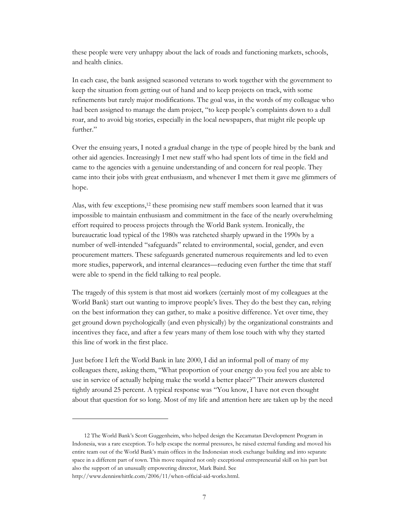these people were very unhappy about the lack of roads and functioning markets, schools, and health clinics.

In each case, the bank assigned seasoned veterans to work together with the government to keep the situation from getting out of hand and to keep projects on track, with some refinements but rarely major modifications. The goal was, in the words of my colleague who had been assigned to manage the dam project, "to keep people's complaints down to a dull roar, and to avoid big stories, especially in the local newspapers, that might rile people up further."

Over the ensuing years, I noted a gradual change in the type of people hired by the bank and other aid agencies. Increasingly I met new staff who had spent lots of time in the field and came to the agencies with a genuine understanding of and concern for real people. They came into their jobs with great enthusiasm, and whenever I met them it gave me glimmers of hope.

Alas, with few exceptions,<sup>12</sup> these promising new staff members soon learned that it was impossible to maintain enthusiasm and commitment in the face of the nearly overwhelming effort required to process projects through the World Bank system. Ironically, the bureaucratic load typical of the 1980s was ratcheted sharply upward in the 1990s by a number of well-intended "safeguards" related to environmental, social, gender, and even procurement matters. These safeguards generated numerous requirements and led to even more studies, paperwork, and internal clearances—reducing even further the time that staff were able to spend in the field talking to real people.

The tragedy of this system is that most aid workers (certainly most of my colleagues at the World Bank) start out wanting to improve people's lives. They do the best they can, relying on the best information they can gather, to make a positive difference. Yet over time, they get ground down psychologically (and even physically) by the organizational constraints and incentives they face, and after a few years many of them lose touch with why they started this line of work in the first place.

Just before I left the World Bank in late 2000, I did an informal poll of many of my colleagues there, asking them, "What proportion of your energy do you feel you are able to use in service of actually helping make the world a better place?" Their answers clustered tightly around 25 percent. A typical response was "You know, I have not even thought about that question for so long. Most of my life and attention here are taken up by the need

<sup>12</sup> The World Bank's Scott Guggenheim, who helped design the Kecamatan Development Program in Indonesia, was a rare exception. To help escape the normal pressures, he raised external funding and moved his entire team out of the World Bank's main offices in the Indonesian stock exchange building and into separate space in a different part of town. This move required not only exceptional entrepreneurial skill on his part but also the support of an unusually empowering director, Mark Baird. See

http://www.denniswhittle.com/2006/11/when-official-aid-works.html.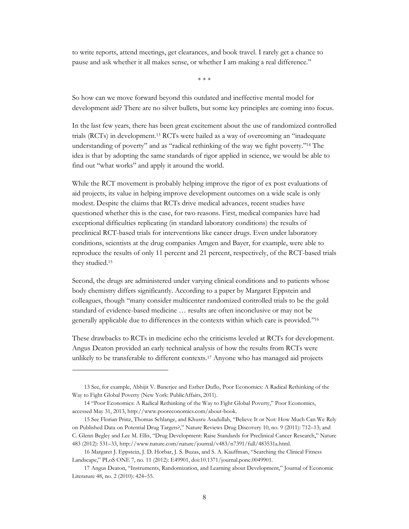to write reports, attend meetings, get clearances, and book travel. I rarely get a chance to pause and ask whether it all makes sense, or whether I am making a real difference."

 $* * *$ 

So how can we move forward beyond this outdated and ineffective mental model for development aid? There are no silver bullets, but some key principles are coming into focus.

In the last few years, there has been great excitement about the use of randomized controlled trials (RCTs) in development.<sup>13</sup> RCTs were hailed as a way of overcoming an "inadequate understanding of poverty" and as "radical rethinking of the way we fight poverty." <sup>14</sup> The idea is that by adopting the same standards of rigor applied in science, we would be able to find out "what works" and apply it around the world.

While the RCT movement is probably helping improve the rigor of ex post evaluations of aid projects, its value in helping improve development outcomes on a wide scale is only modest. Despite the claims that RCTs drive medical advances, recent studies have questioned whether this is the case, for two reasons. First, medical companies have had exceptional difficulties replicating (in standard laboratory conditions) the results of preclinical RCT-based trials for interventions like cancer drugs. Even under laboratory conditions, scientists at the drug companies Amgen and Bayer, for example, were able to reproduce the results of only 11 percent and 21 percent, respectively, of the RCT-based trials they studied.<sup>15</sup>

Second, the drugs are administered under varying clinical conditions and to patients whose body chemistry differs significantly. According to a paper by Margaret Eppstein and colleagues, though "many consider multicenter randomized controlled trials to be the gold standard of evidence-based medicine … results are often inconclusive or may not be generally applicable due to differences in the contexts within which care is provided." 16

These drawbacks to RCTs in medicine echo the criticisms leveled at RCTs for development. Angus Deaton provided an early technical analysis of how the results from RCTs were unlikely to be transferable to different contexts.<sup>17</sup> Anyone who has managed aid projects

<sup>13</sup> See, for example, Abhijit V. Banerjee and Esther Duflo, Poor Economics: A Radical Rethinking of the Way to Fight Global Poverty (New York: PublicAffairs, 2011).

<sup>14</sup> "Poor Economics: A Radical Rethinking of the Way to Fight Global Poverty," Poor Economics, accessed May 31, 2013, http://www.pooreconomics.com/about-book.

<sup>15</sup> See Florian Prinz, Thomas Schlange, and Khusru Asadullah, "Believe It or Not: How Much Can We Rely on Published Data on Potential Drug Targets?," Nature Reviews Drug Discovery 10, no. 9 (2011): 712–13; and C. Glenn Begley and Lee M. Ellis, "Drug Development: Raise Standards for Preclinical Cancer Research," Nature 483 (2012): 531–33, http://www.nature.com/nature/journal/v483/n7391/full/483531a.html.

<sup>16</sup> Margaret J. Eppstein, J. D. Horbar, J. S. Buzas, and S. A. Kauffman, "Searching the Clinical Fitness Landscape," PLoS ONE 7, no. 11 (2012): E49901, doi:10.1371/journal.pone.0049901.

<sup>17</sup> Angus Deaton, "Instruments, Randomization, and Learning about Development," Journal of Economic Literature 48, no. 2 (2010): 424–55.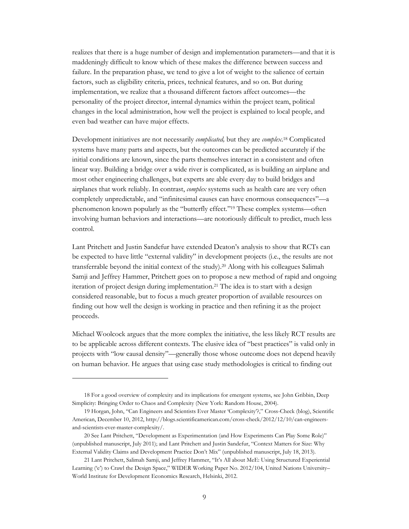realizes that there is a huge number of design and implementation parameters—and that it is maddeningly difficult to know which of these makes the difference between success and failure. In the preparation phase, we tend to give a lot of weight to the salience of certain factors, such as eligibility criteria, prices, technical features, and so on. But during implementation, we realize that a thousand different factors affect outcomes—the personality of the project director, internal dynamics within the project team, political changes in the local administration, how well the project is explained to local people, and even bad weather can have major effects.

Development initiatives are not necessarily *complicated,* but they are *complex*. <sup>18</sup> Complicated systems have many parts and aspects, but the outcomes can be predicted accurately if the initial conditions are known, since the parts themselves interact in a consistent and often linear way. Building a bridge over a wide river is complicated, as is building an airplane and most other engineering challenges, but experts are able every day to build bridges and airplanes that work reliably. In contrast, *complex* systems such as health care are very often completely unpredictable, and "infinitesimal causes can have enormous consequences"—a phenomenon known popularly as the "butterfly effect." <sup>19</sup> These complex systems—often involving human behaviors and interactions—are notoriously difficult to predict, much less control.

Lant Pritchett and Justin Sandefur have extended Deaton's analysis to show that RCTs can be expected to have little "external validity" in development projects (i.e., the results are not transferrable beyond the initial context of the study).<sup>20</sup> Along with his colleagues Salimah Samji and Jeffrey Hammer, Pritchett goes on to propose a new method of rapid and ongoing iteration of project design during implementation.<sup>21</sup> The idea is to start with a design considered reasonable, but to focus a much greater proportion of available resources on finding out how well the design is working in practice and then refining it as the project proceeds.

Michael Woolcock argues that the more complex the initiative, the less likely RCT results are to be applicable across different contexts. The elusive idea of "best practices" is valid only in projects with "low causal density"—generally those whose outcome does not depend heavily on human behavior. He argues that using case study methodologies is critical to finding out

<sup>18</sup> For a good overview of complexity and its implications for emergent systems, see John Gribbin, Deep Simplicity: Bringing Order to Chaos and Complexity (New York: Random House, 2004).

<sup>19</sup> Horgan, John, "Can Engineers and Scientists Ever Master 'Complexity'?," Cross-Check (blog), Scientific American, December 10, 2012, http://blogs.scientificamerican.com/cross-check/2012/12/10/can-engineersand-scientists-ever-master-complexity/.

<sup>20</sup> See Lant Pritchett, "Development as Experimentation (and How Experiments Can Play Some Role)" (unpublished manuscript, July 2011); and Lant Pritchett and Justin Sandefur, "Context Matters for Size: Why External Validity Claims and Development Practice Don't Mix" (unpublished manuscript, July 18, 2013).

<sup>21</sup> Lant Pritchett, Salimah Samji, and Jeffrey Hammer, "It's All about MeE: Using Structured Experiential Learning ('e') to Crawl the Design Space," WIDER Working Paper No. 2012/104, United Nations University– World Institute for Development Economics Research, Helsinki, 2012.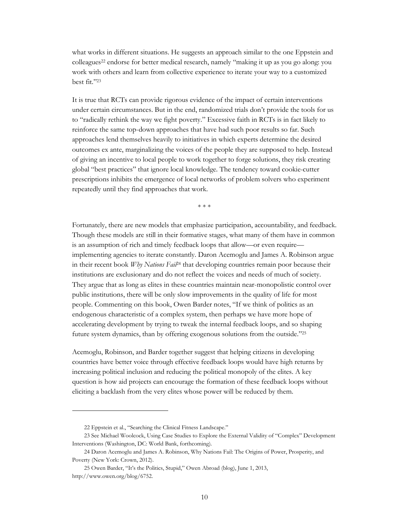what works in different situations. He suggests an approach similar to the one Eppstein and colleagues<sup>22</sup> endorse for better medical research, namely "making it up as you go along: you work with others and learn from collective experience to iterate your way to a customized best fit." 23

It is true that RCTs can provide rigorous evidence of the impact of certain interventions under certain circumstances. But in the end, randomized trials don't provide the tools for us to "radically rethink the way we fight poverty." Excessive faith in RCTs is in fact likely to reinforce the same top-down approaches that have had such poor results so far. Such approaches lend themselves heavily to initiatives in which experts determine the desired outcomes ex ante, marginalizing the voices of the people they are supposed to help. Instead of giving an incentive to local people to work together to forge solutions, they risk creating global "best practices" that ignore local knowledge. The tendency toward cookie-cutter prescriptions inhibits the emergence of local networks of problem solvers who experiment repeatedly until they find approaches that work.

\* \* \*

Fortunately, there are new models that emphasize participation, accountability, and feedback. Though these models are still in their formative stages, what many of them have in common is an assumption of rich and timely feedback loops that allow—or even require implementing agencies to iterate constantly. Daron Acemoglu and James A. Robinson argue in their recent book *Why Nations Fail*<sup>24</sup> that developing countries remain poor because their institutions are exclusionary and do not reflect the voices and needs of much of society. They argue that as long as elites in these countries maintain near-monopolistic control over public institutions, there will be only slow improvements in the quality of life for most people. Commenting on this book, Owen Barder notes, "If we think of politics as an endogenous characteristic of a complex system, then perhaps we have more hope of accelerating development by trying to tweak the internal feedback loops, and so shaping future system dynamics, than by offering exogenous solutions from the outside." 25

Acemoglu, Robinson, and Barder together suggest that helping citizens in developing countries have better voice through effective feedback loops would have high returns by increasing political inclusion and reducing the political monopoly of the elites. A key question is how aid projects can encourage the formation of these feedback loops without eliciting a backlash from the very elites whose power will be reduced by them.

<sup>22</sup> Eppstein et al., "Searching the Clinical Fitness Landscape."

<sup>23</sup> See Michael Woolcock, Using Case Studies to Explore the External Validity of "Complex" Development Interventions (Washington, DC: World Bank, forthcoming).

<sup>24</sup> Daron Acemoglu and James A. Robinson, Why Nations Fail: The Origins of Power, Prosperity, and Poverty (New York: Crown, 2012).

<sup>25</sup> Owen Barder, "It's the Politics, Stupid," Owen Abroad (blog), June 1, 2013, http://www.owen.org/blog/6752.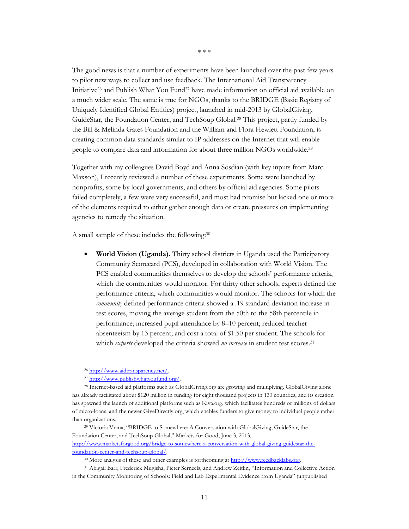The good news is that a number of experiments have been launched over the past few years to pilot new ways to collect and use feedback. The International Aid Transparency Initiative<sup>26</sup> and Publish What You Fund<sup>27</sup> have made information on official aid available on a much wider scale. The same is true for NGOs, thanks to the BRIDGE (Basic Registry of Uniquely Identified Global Entities) project, launched in mid-2013 by GlobalGiving, GuideStar, the Foundation Center, and TechSoup Global.<sup>28</sup> This project, partly funded by the Bill & Melinda Gates Foundation and the William and Flora Hewlett Foundation, is creating common data standards similar to IP addresses on the Internet that will enable people to compare data and information for about three million NGOs worldwide.<sup>29</sup>

Together with my colleagues David Boyd and Anna Sosdian (with key inputs from Marc Maxson), I recently reviewed a number of these experiments. Some were launched by nonprofits, some by local governments, and others by official aid agencies. Some pilots failed completely, a few were very successful, and most had promise but lacked one or more of the elements required to either gather enough data or create pressures on implementing agencies to remedy the situation.

A small sample of these includes the following:<sup>30</sup>

 **World Vision (Uganda).** Thirty school districts in Uganda used the Participatory Community Scorecard (PCS), developed in collaboration with World Vision. The PCS enabled communities themselves to develop the schools' performance criteria, which the communities would monitor. For thirty other schools, experts defined the performance criteria, which communities would monitor. The schools for which the *community* defined performance criteria showed a .19 standard deviation increase in test scores, moving the average student from the 50th to the 58th percentile in performance; increased pupil attendance by 8–10 percent; reduced teacher absenteeism by 13 percent; and cost a total of \$1.50 per student. The schools for which *experts* developed the criteria showed *no increase* in student test scores.<sup>31</sup>

 $\overline{a}$ 

\* \* \*

<sup>26</sup> http://www.aidtransparency.net/.

<sup>27</sup> http://www.publishwhatyoufund.org/.

<sup>28</sup> Internet-based aid platforms such as GlobalGiving.org are growing and multiplying. GlobalGiving alone has already facilitated about \$120 million in funding for eight thousand projects in 130 countries, and its creation has spawned the launch of additional platforms such as Kiva.org, which facilitates hundreds of millions of dollars of micro-loans, and the newer GiveDirectly.org, which enables funders to give money to individual people rather than organizations.

<sup>29</sup> Victoria Vrana, "BRIDGE to Somewhere: A Conversation with GlobalGiving, GuideStar, the Foundation Center, and TechSoup Global," Markets for Good, June 3, 2013, http://www.marketsforgood.org/bridge-to-somewhere-a-conversation-with-global-giving-guidestar-thefoundation-center-and-techsoup-global/.

<sup>&</sup>lt;sup>30</sup> More analysis of these and other examples is forthcoming at http://www.feedbacklabs.org.

<sup>31</sup> Abigail Barr, Frederick Mugisha, Pieter Serneels, and Andrew Zeitlin, "Information and Collective Action in the Community Monitoring of Schools: Field and Lab Experimental Evidence from Uganda" (unpublished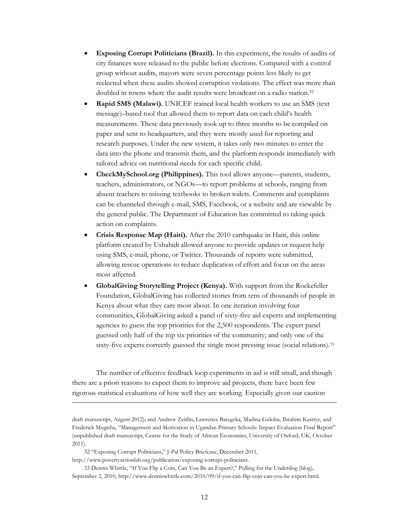- **Exposing Corrupt Politicians (Brazil).** In this experiment, the results of audits of city finances were released to the public before elections. Compared with a control group without audits, mayors were seven percentage points less likely to get reelected when these audits showed corruption violations. The effect was more than doubled in towns where the audit results were broadcast on a radio station.<sup>32</sup>
- **Rapid SMS (Malawi).** UNICEF trained local health workers to use an SMS (text message)–based tool that allowed them to report data on each child's health measurements. These data previously took up to three months to be compiled on paper and sent to headquarters, and they were mostly used for reporting and research purposes. Under the new system, it takes only two minutes to enter the data into the phone and transmit them, and the platform responds immediately with tailored advice on nutritional needs for each specific child.
- **CheckMySchool.org (Philippines).** This tool allows anyone—parents, students, teachers, administrators, or NGOs—to report problems at schools, ranging from absent teachers to missing textbooks to broken toilets. Comments and complaints can be channeled through e-mail, SMS, Facebook, or a website and are viewable by the general public. The Department of Education has committed to taking quick action on complaints.
- **Crisis Response Map (Haiti).** After the 2010 earthquake in Haiti, this online platform created by Ushahidi allowed anyone to provide updates or request help using SMS, e-mail, phone, or Twitter. Thousands of reports were submitted, allowing rescue operations to reduce duplication of effort and focus on the areas most affected.
- **GlobalGiving Storytelling Project (Kenya).** With support from the Rockefeller Foundation, GlobalGiving has collected stories from tens of thousands of people in Kenya about what they care most about. In one iteration involving four communities, GlobalGiving asked a panel of sixty-five aid experts and implementing agencies to guess the top priorities for the 2,500 respondents. The expert panel guessed only half of the top six priorities of the community; and only one of the sixty-five experts correctly guessed the single most pressing issue (social relations).<sup>33</sup>

The number of effective feedback loop experiments in aid is still small, and though there are a priori reasons to expect them to improve aid projects, there have been few rigorous statistical evaluations of how well they are working. Especially given our caution

32 "Exposing Corrupt Politicians," J-Pal Policy Briefcase, December 2011, http://www.povertyactionlab.org/publication/exposing-corrupt-politicians.

draft manuscript, August 2012); and Andrew Zeitlin, Lawrence Bategeka, Madina Guloba, Ibrahim Kasirye, and Frederick Mugisha, "Management and Motivation in Ugandan Primary Schools: Impact Evaluation Final Report" (unpublished draft manuscript, Centre for the Study of African Economies, University of Oxford, UK, October 2011).

<sup>33</sup> Dennis Whittle, "If You Flip a Coin, Can You Be an Expert?," Pulling for the Underdog (blog), September 2, 2010, http://www.denniswhittle.com/2010/09/if-you-can-flip-coin-can-you-be-expert.html.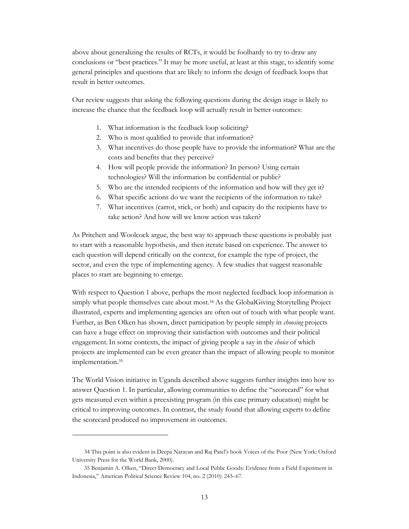above about generalizing the results of RCTs, it would be foolhardy to try to draw any conclusions or "best practices." It may be more useful, at least at this stage, to identify some general principles and questions that are likely to inform the design of feedback loops that result in better outcomes.

Our review suggests that asking the following questions during the design stage is likely to increase the chance that the feedback loop will actually result in better outcomes:

- 1. What information is the feedback loop soliciting?
- 2. Who is most qualified to provide that information?
- 3. What incentives do those people have to provide the information? What are the costs and benefits that they perceive?
- 4. How will people provide the information? In person? Using certain technologies? Will the information be confidential or public?
- 5. Who are the intended recipients of the information and how will they get it?
- 6. What specific actions do we want the recipients of the information to take?
- 7. What incentives (carrot, stick, or both) and capacity do the recipients have to take action? And how will we know action was taken?

As Pritchett and Woolcock argue, the best way to approach these questions is probably just to start with a reasonable hypothesis, and then iterate based on experience. The answer to each question will depend critically on the context, for example the type of project, the sector, and even the type of implementing agency. A few studies that suggest reasonable places to start are beginning to emerge.

With respect to Question 1 above, perhaps the most neglected feedback loop information is simply what people themselves care about most.<sup>34</sup> As the GlobalGiving Storytelling Project illustrated, experts and implementing agencies are often out of touch with what people want. Further, as Ben Olken has shown, direct participation by people simply in *choosing* projects can have a huge effect on improving their satisfaction with outcomes and their political engagement.In some contexts, the impact of giving people a say in the *choice* of which projects are implemented can be even greater than the impact of allowing people to monitor implementation.<sup>35</sup>

The World Vision initiative in Uganda described above suggests further insights into how to answer Question 1. In particular, allowing communities to define the "scorecard" for what gets measured even within a preexisting program (in this case primary education) might be critical to improving outcomes. In contrast, the study found that allowing experts to define the scorecard produced no improvement in outcomes.

<sup>34</sup> This point is also evident in Deepa Narayan and Raj Patel's book Voices of the Poor (New York: Oxford University Press for the World Bank, 2000).

<sup>35</sup> Benjamin A. Olken, "Direct Democracy and Local Public Goods: Evidence from a Field Experiment in Indonesia," American Political Science Review 104, no. 2 (2010): 243–67.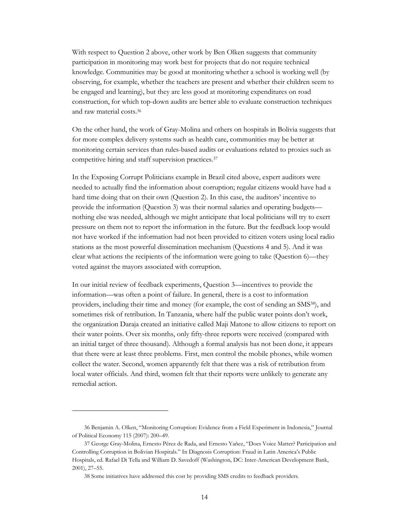With respect to Question 2 above, other work by Ben Olken suggests that community participation in monitoring may work best for projects that do not require technical knowledge. Communities may be good at monitoring whether a school is working well (by observing, for example, whether the teachers are present and whether their children seem to be engaged and learning), but they are less good at monitoring expenditures on road construction, for which top-down audits are better able to evaluate construction techniques and raw material costs.<sup>36</sup>

On the other hand, the work of Gray-Molina and others on hospitals in Bolivia suggests that for more complex delivery systems such as health care, communities may be better at monitoring certain services than rules-based audits or evaluations related to proxies such as competitive hiring and staff supervision practices.<sup>37</sup>

In the Exposing Corrupt Politicians example in Brazil cited above, expert auditors were needed to actually find the information about corruption; regular citizens would have had a hard time doing that on their own (Question 2). In this case, the auditors' incentive to provide the information (Question 3) was their normal salaries and operating budgets nothing else was needed, although we might anticipate that local politicians will try to exert pressure on them not to report the information in the future. But the feedback loop would not have worked if the information had not been provided to citizen voters using local radio stations as the most powerful dissemination mechanism (Questions 4 and 5). And it was clear what actions the recipients of the information were going to take (Question 6)—they voted against the mayors associated with corruption.

In our initial review of feedback experiments, Question 3—incentives to provide the information—was often a point of failure. In general, there is a cost to information providers, including their time and money (for example, the cost of sending an SMS38), and sometimes risk of retribution. In Tanzania, where half the public water points don't work, the organization Daraja created an initiative called Maji Matone to allow citizens to report on their water points. Over six months, only fifty-three reports were received (compared with an initial target of three thousand). Although a formal analysis has not been done, it appears that there were at least three problems. First, men control the mobile phones, while women collect the water. Second, women apparently felt that there was a risk of retribution from local water officials. And third, women felt that their reports were unlikely to generate any remedial action.

<sup>36</sup> Benjamin A. Olken, "Monitoring Corruption: Evidence from a Field Experiment in Indonesia," Journal of Political Economy 115 (2007): 200–49.

<sup>37</sup> George Gray-Molina, Ernesto Pérez de Rada, and Ernesto Yañez, "Does Voice Matter? Participation and Controlling Corruption in Bolivian Hospitals." In Diagnosis Corruption: Fraud in Latin America's Public Hospitals, ed. Rafael Di Tella and William D. Savedoff (Washington, DC: Inter-American Development Bank, 2001), 27–55.

<sup>38</sup> Some initiatives have addressed this cost by providing SMS credits to feedback providers.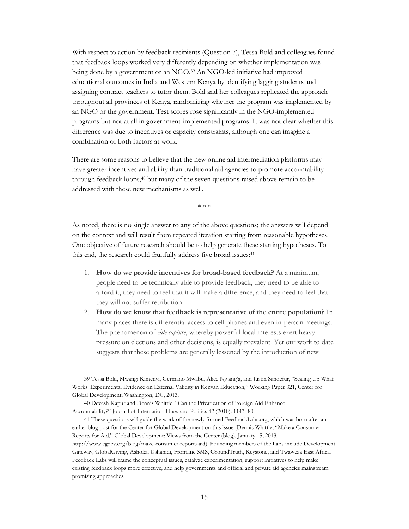With respect to action by feedback recipients (Question 7), Tessa Bold and colleagues found that feedback loops worked very differently depending on whether implementation was being done by a government or an NGO.<sup>39</sup> An NGO-led initiative had improved educational outcomes in India and Western Kenya by identifying lagging students and assigning contract teachers to tutor them. Bold and her colleagues replicated the approach throughout all provinces of Kenya, randomizing whether the program was implemented by an NGO or the government. Test scores rose significantly in the NGO-implemented programs but not at all in government-implemented programs. It was not clear whether this difference was due to incentives or capacity constraints, although one can imagine a combination of both factors at work.

There are some reasons to believe that the new online aid intermediation platforms may have greater incentives and ability than traditional aid agencies to promote accountability through feedback loops,<sup>40</sup> but many of the seven questions raised above remain to be addressed with these new mechanisms as well.

\* \* \*

As noted, there is no single answer to any of the above questions; the answers will depend on the context and will result from repeated iteration starting from reasonable hypotheses. One objective of future research should be to help generate these starting hypotheses. To this end, the research could fruitfully address five broad issues:<sup>41</sup>

- 1. **How do we provide incentives for broad-based feedback?** At a minimum, people need to be technically able to provide feedback, they need to be able to afford it, they need to feel that it will make a difference, and they need to feel that they will not suffer retribution.
- 2. **How do we know that feedback is representative of the entire population?** In many places there is differential access to cell phones and even in-person meetings. The phenomenon of *elite capture*, whereby powerful local interests exert heavy pressure on elections and other decisions, is equally prevalent. Yet our work to date suggests that these problems are generally lessened by the introduction of new

<sup>39</sup> Tessa Bold, Mwangi Kimenyi, Germano Mwabu, Alice Ng'ang'a, and Justin Sandefur, "Scaling Up What Works: Experimental Evidence on External Validity in Kenyan Education," Working Paper 321, Center for Global Development, Washington, DC, 2013.

<sup>40</sup> Devesh Kapur and Dennis Whittle, "Can the Privatization of Foreign Aid Enhance Accountability?" Journal of International Law and Politics 42 (2010): 1143–80.

<sup>41</sup> These questions will guide the work of the newly formed FeedbackLabs.org, which was born after an earlier blog post for the Center for Global Development on this issue (Dennis Whittle, "Make a Consumer Reports for Aid," Global Development: Views from the Center (blog), January 15, 2013, http://www.cgdev.org/blog/make-consumer-reports-aid). Founding members of the Labs include Development

Gateway, GlobalGiving, Ashoka, Ushahidi, Frontline SMS, GroundTruth, Keystone, and Twaweza East Africa. Feedback Labs will frame the conceptual issues, catalyze experimentation, support initiatives to help make existing feedback loops more effective, and help governments and official and private aid agencies mainstream promising approaches.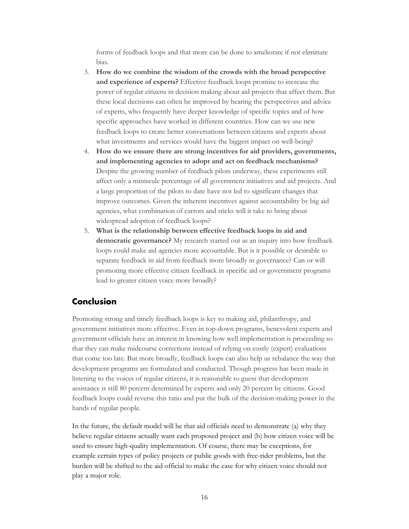forms of feedback loops and that more can be done to ameliorate if not eliminate bias.

- 3. **How do we combine the wisdom of the crowds with the broad perspective and experience of experts?** Effective feedback loops promise to increase the power of regular citizens in decision making about aid projects that affect them. But these local decisions can often be improved by hearing the perspectives and advice of experts, who frequently have deeper knowledge of specific topics and of how specific approaches have worked in different countries. How can we use new feedback loops to create better conversations between citizens and experts about what investments and services would have the biggest impact on well-being?
- 4. **How do we ensure there are strong incentives for aid providers, governments, and implementing agencies to adopt and act on feedback mechanisms?** Despite the growing number of feedback pilots underway, these experiments still affect only a miniscule percentage of all government initiatives and aid projects. And a large proportion of the pilots to date have not led to significant changes that improve outcomes. Given the inherent incentives against accountability by big aid agencies, what combination of carrots and sticks will it take to bring about widespread adoption of feedback loops?
- 5. **What is the relationship between effective feedback loops in aid and democratic governance?** My research started out as an inquiry into how feedback loops could make aid agencies more accountable. But is it possible or desirable to separate feedback in aid from feedback more broadly in governance? Can or will promoting more effective citizen feedback in specific aid or government programs lead to greater citizen voice more broadly?

## **Conclusion**

Promoting strong and timely feedback loops is key to making aid, philanthropy, and government initiatives more effective. Even in top-down programs, benevolent experts and government officials have an interest in knowing how well implementation is proceeding so that they can make midcourse corrections instead of relying on costly (expert) evaluations that come too late. But more broadly, feedback loops can also help us rebalance the way that development programs are formulated and conducted. Though progress has been made in listening to the voices of regular citizens, it is reasonable to guess that development assistance is still 80 percent determined by experts and only 20 percent by citizens. Good feedback loops could reverse this ratio and put the bulk of the decision-making power in the hands of regular people.

In the future, the default model will be that aid officials need to demonstrate (a) why they believe regular citizens actually want each proposed project and (b) how citizen voice will be used to ensure high-quality implementation. Of course, there may be exceptions, for example certain types of policy projects or public goods with free-rider problems, but the burden will be shifted to the aid official to make the case for why citizen voice should not play a major role.